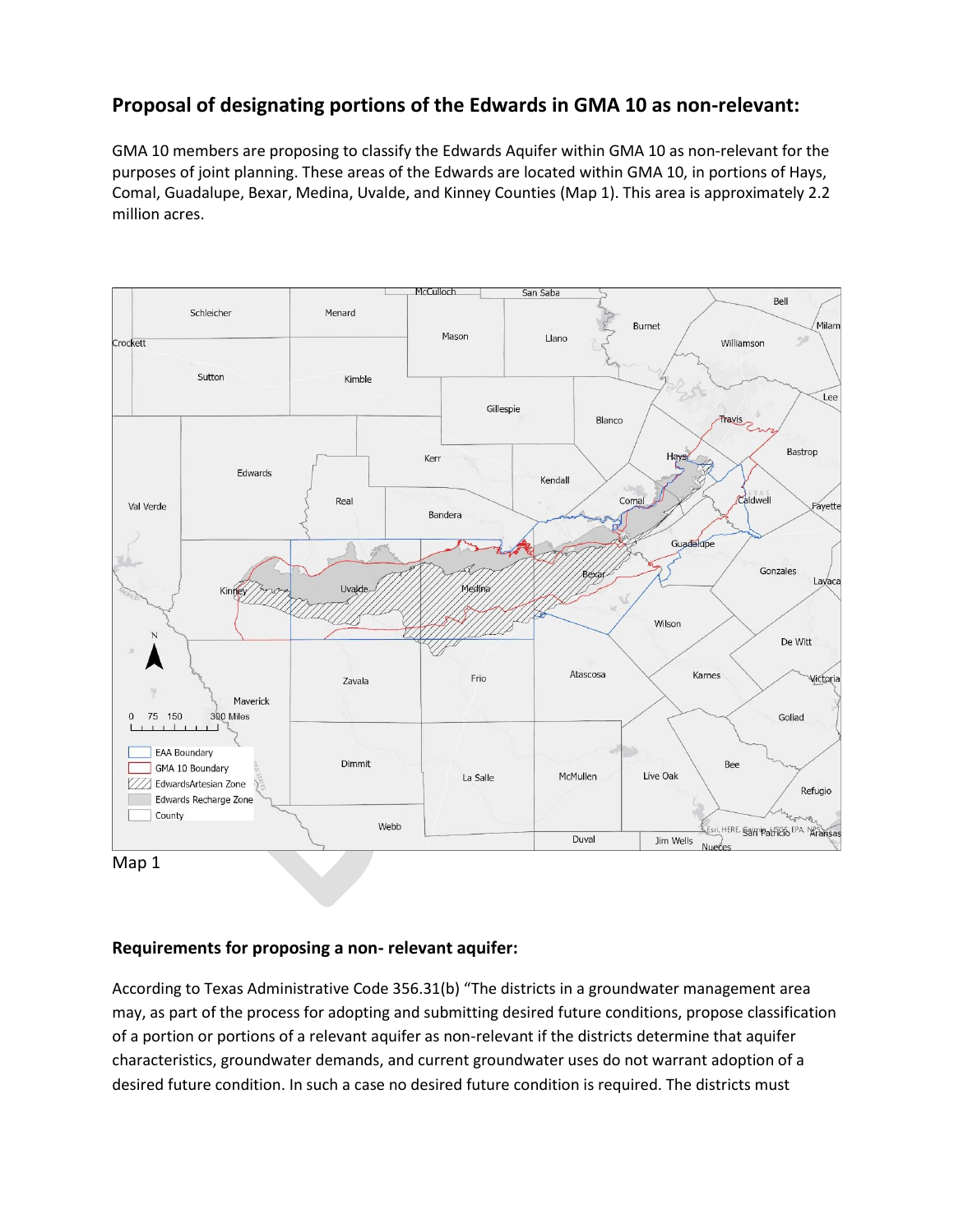# **Proposal of designating portions of the Edwards in GMA 10 as non-relevant:**

GMA 10 members are proposing to classify the Edwards Aquifer within GMA 10 as non-relevant for the purposes of joint planning. These areas of the Edwards are located within GMA 10, in portions of Hays, Comal, Guadalupe, Bexar, Medina, Uvalde, and Kinney Counties (Map 1). This area is approximately 2.2 million acres.



#### **Requirements for proposing a non- relevant aquifer:**

According to Texas Administrative Code 356.31(b) "The districts in a groundwater management area may, as part of the process for adopting and submitting desired future conditions, propose classification of a portion or portions of a relevant aquifer as non-relevant if the districts determine that aquifer characteristics, groundwater demands, and current groundwater uses do not warrant adoption of a desired future condition. In such a case no desired future condition is required. The districts must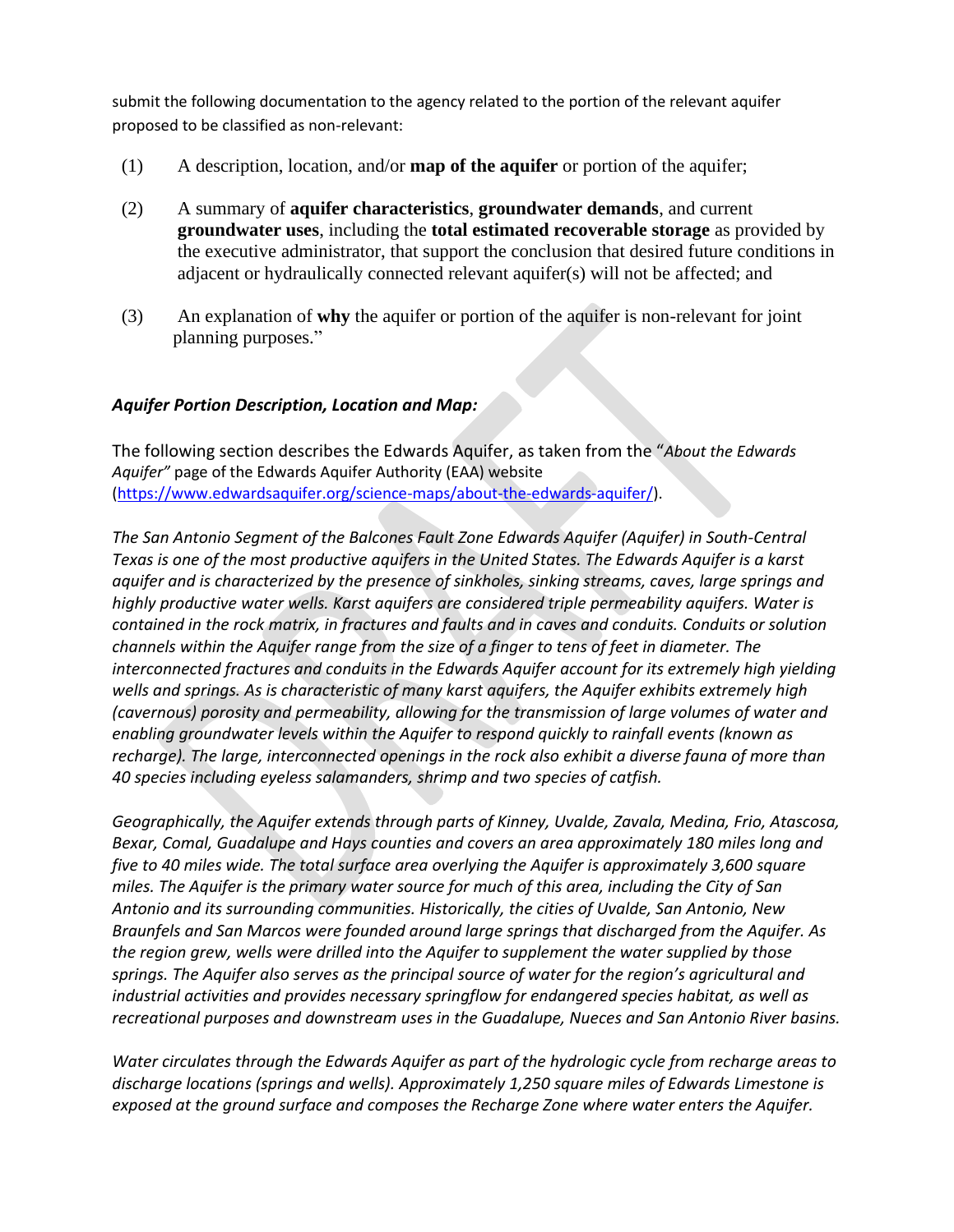submit the following documentation to the agency related to the portion of the relevant aquifer proposed to be classified as non-relevant:

- (1) A description, location, and/or **map of the aquifer** or portion of the aquifer;
- (2) A summary of **aquifer characteristics**, **groundwater demands**, and current **groundwater uses**, including the **total estimated recoverable storage** as provided by the executive administrator, that support the conclusion that desired future conditions in adjacent or hydraulically connected relevant aquifer(s) will not be affected; and
- (3) An explanation of **why** the aquifer or portion of the aquifer is non-relevant for joint planning purposes."

#### *Aquifer Portion Description, Location and Map:*

The following section describes the Edwards Aquifer, as taken from the "*About the Edwards Aquifer"* page of the Edwards Aquifer Authority (EAA) website [\(https://www.edwardsaquifer.org/science-maps/about-the-edwards-aquifer/\)](https://www.edwardsaquifer.org/science-maps/about-the-edwards-aquifer/).

*The San Antonio Segment of the Balcones Fault Zone Edwards Aquifer (Aquifer) in South-Central Texas is one of the most productive aquifers in the United States. The Edwards Aquifer is a karst aquifer and is characterized by the presence of sinkholes, sinking streams, caves, large springs and highly productive water wells. Karst aquifers are considered triple permeability aquifers. Water is contained in the rock matrix, in fractures and faults and in caves and conduits. Conduits or solution channels within the Aquifer range from the size of a finger to tens of feet in diameter. The interconnected fractures and conduits in the Edwards Aquifer account for its extremely high yielding wells and springs. As is characteristic of many karst aquifers, the Aquifer exhibits extremely high (cavernous) porosity and permeability, allowing for the transmission of large volumes of water and enabling groundwater levels within the Aquifer to respond quickly to rainfall events (known as recharge). The large, interconnected openings in the rock also exhibit a diverse fauna of more than 40 species including eyeless salamanders, shrimp and two species of catfish.*

*Geographically, the Aquifer extends through parts of Kinney, Uvalde, Zavala, Medina, Frio, Atascosa, Bexar, Comal, Guadalupe and Hays counties and covers an area approximately 180 miles long and five to 40 miles wide. The total surface area overlying the Aquifer is approximately 3,600 square miles. The Aquifer is the primary water source for much of this area, including the City of San Antonio and its surrounding communities. Historically, the cities of Uvalde, San Antonio, New Braunfels and San Marcos were founded around large springs that discharged from the Aquifer. As the region grew, wells were drilled into the Aquifer to supplement the water supplied by those springs. The Aquifer also serves as the principal source of water for the region's agricultural and industrial activities and provides necessary springflow for endangered species habitat, as well as recreational purposes and downstream uses in the Guadalupe, Nueces and San Antonio River basins.*

*Water circulates through the Edwards Aquifer as part of the hydrologic cycle from recharge areas to discharge locations (springs and wells). Approximately 1,250 square miles of Edwards Limestone is exposed at the ground surface and composes the Recharge Zone where water enters the Aquifer.*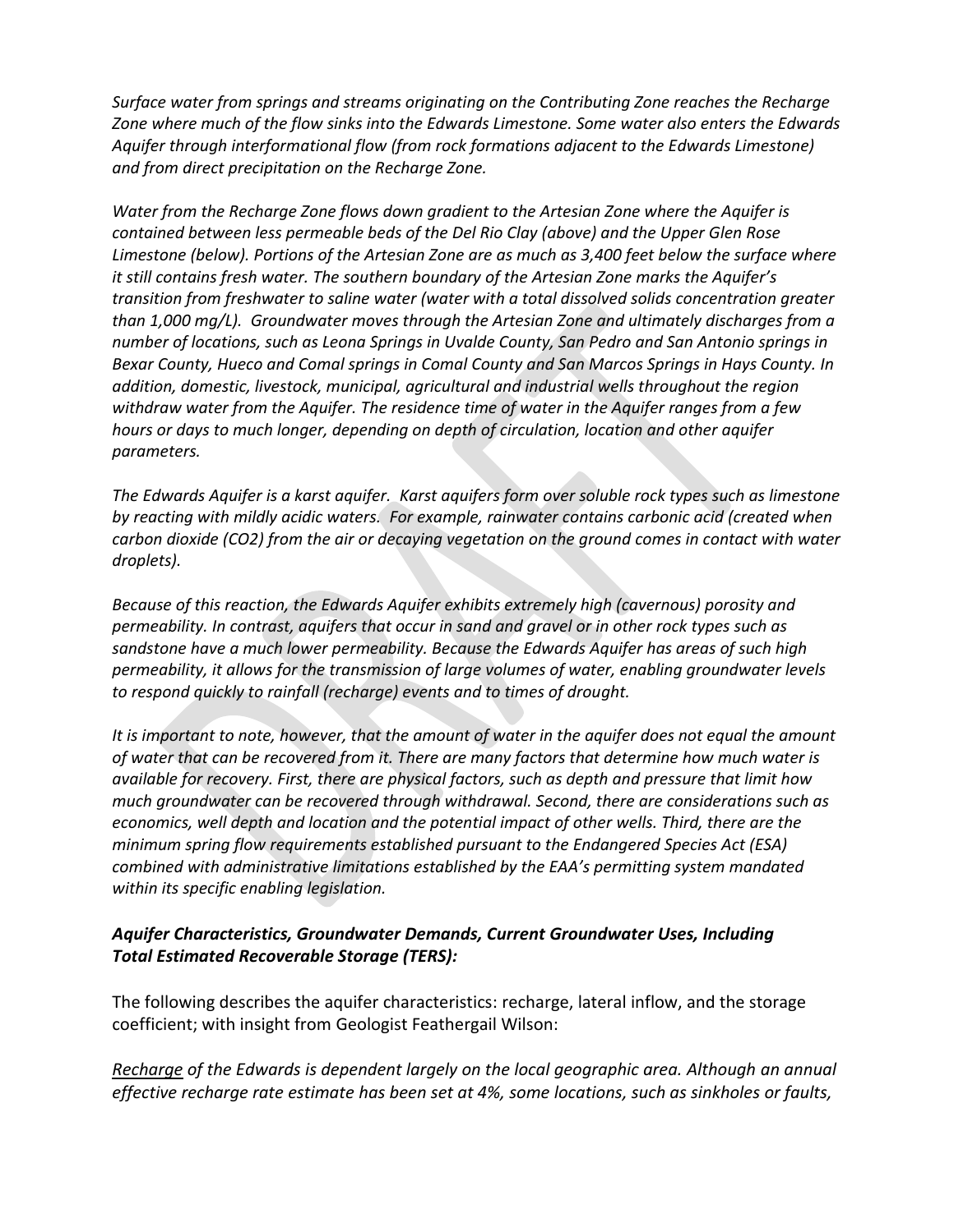*Surface water from springs and streams originating on the Contributing Zone reaches the Recharge Zone where much of the flow sinks into the Edwards Limestone. Some water also enters the Edwards Aquifer through interformational flow (from rock formations adjacent to the Edwards Limestone) and from direct precipitation on the Recharge Zone.*

*Water from the Recharge Zone flows down gradient to the Artesian Zone where the Aquifer is contained between less permeable beds of the Del Rio Clay (above) and the Upper Glen Rose Limestone (below). Portions of the Artesian Zone are as much as 3,400 feet below the surface where it still contains fresh water. The southern boundary of the Artesian Zone marks the Aquifer's transition from freshwater to saline water (water with a total dissolved solids concentration greater than 1,000 mg/L). Groundwater moves through the Artesian Zone and ultimately discharges from a number of locations, such as Leona Springs in Uvalde County, San Pedro and San Antonio springs in Bexar County, Hueco and Comal springs in Comal County and San Marcos Springs in Hays County. In addition, domestic, livestock, municipal, agricultural and industrial wells throughout the region withdraw water from the Aquifer. The residence time of water in the Aquifer ranges from a few hours or days to much longer, depending on depth of circulation, location and other aquifer parameters.*

*The Edwards Aquifer is a karst aquifer. Karst aquifers form over soluble rock types such as limestone by reacting with mildly acidic waters. For example, rainwater contains carbonic acid (created when carbon dioxide (CO2) from the air or decaying vegetation on the ground comes in contact with water droplets).*

*Because of this reaction, the Edwards Aquifer exhibits extremely high (cavernous) porosity and permeability. In contrast, aquifers that occur in sand and gravel or in other rock types such as sandstone have a much lower permeability. Because the Edwards Aquifer has areas of such high permeability, it allows for the transmission of large volumes of water, enabling groundwater levels to respond quickly to rainfall (recharge) events and to times of drought.*

*It is important to note, however, that the amount of water in the aquifer does not equal the amount of water that can be recovered from it. There are many factors that determine how much water is available for recovery. First, there are physical factors, such as depth and pressure that limit how much groundwater can be recovered through withdrawal. Second, there are considerations such as economics, well depth and location and the potential impact of other wells. Third, there are the minimum spring flow requirements established pursuant to the Endangered Species Act (ESA) combined with administrative limitations established by the EAA's permitting system mandated within its specific enabling legislation.*

# *Aquifer Characteristics, Groundwater Demands, Current Groundwater Uses, Including Total Estimated Recoverable Storage (TERS):*

The following describes the aquifer characteristics: recharge, lateral inflow, and the storage coefficient; with insight from Geologist Feathergail Wilson:

*Recharge of the Edwards is dependent largely on the local geographic area. Although an annual effective recharge rate estimate has been set at 4%, some locations, such as sinkholes or faults,*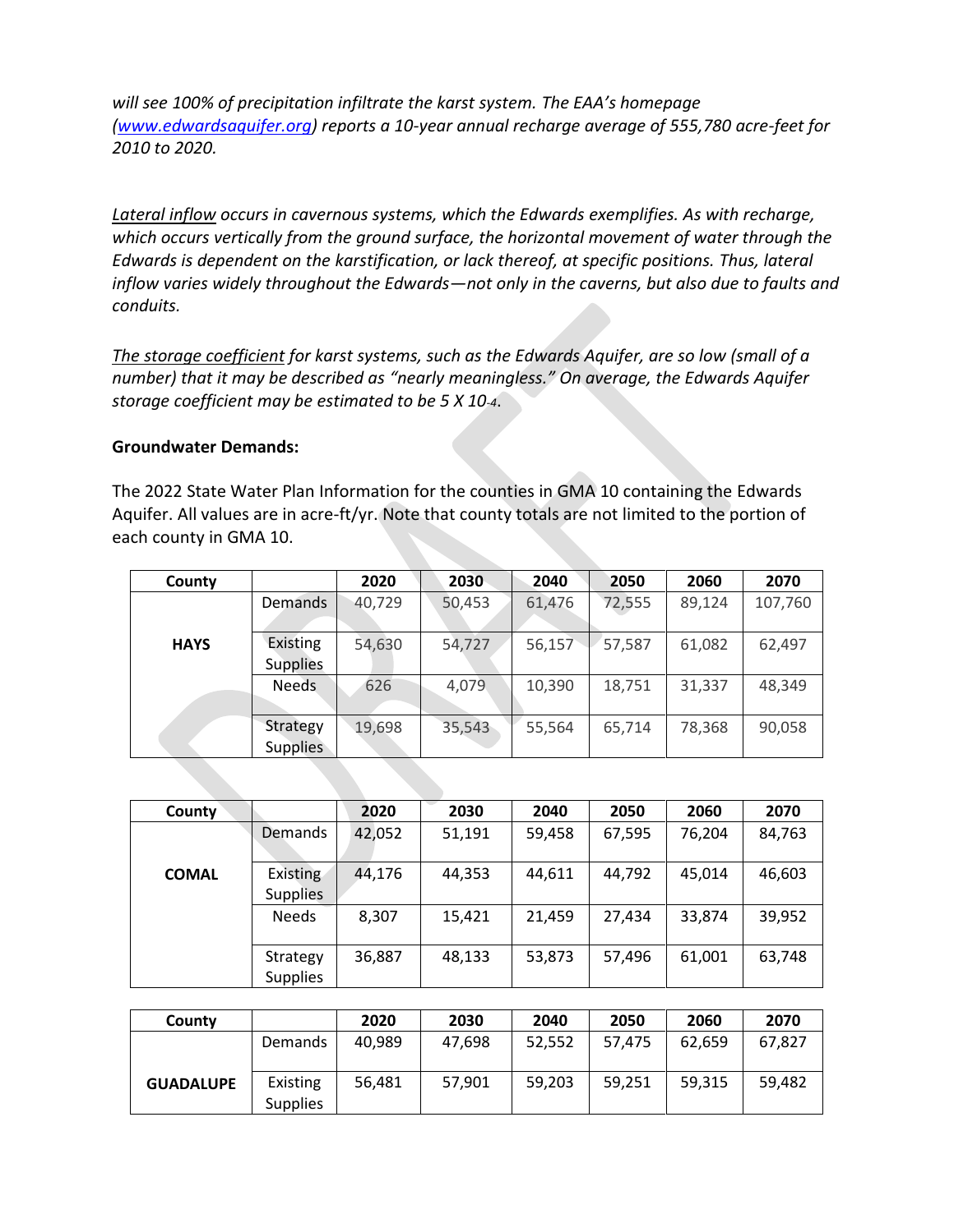*will see 100% of precipitation infiltrate the karst system. The EAA's homepage [\(www.edwardsaquifer.org\)](http://www.edwardsaquifer.org/) reports a 10-year annual recharge average of 555,780 acre-feet for 2010 to 2020.* 

*Lateral inflow occurs in cavernous systems, which the Edwards exemplifies. As with recharge, which occurs vertically from the ground surface, the horizontal movement of water through the Edwards is dependent on the karstification, or lack thereof, at specific positions. Thus, lateral inflow varies widely throughout the Edwards—not only in the caverns, but also due to faults and conduits.* 

*The storage coefficient for karst systems, such as the Edwards Aquifer, are so low (small of a number) that it may be described as "nearly meaningless." On average, the Edwards Aquifer storage coefficient may be estimated to be 5 X 10-4*.

#### **Groundwater Demands:**

The 2022 State Water Plan Information for the counties in GMA 10 containing the Edwards Aquifer. All values are in acre-ft/yr. Note that county totals are not limited to the portion of each county in GMA 10.

| County      |                             | 2020   | 2030   | 2040   | 2050   | 2060   | 2070    |
|-------------|-----------------------------|--------|--------|--------|--------|--------|---------|
|             | Demands                     | 40,729 | 50,453 | 61,476 | 72,555 | 89,124 | 107,760 |
| <b>HAYS</b> | Existing<br><b>Supplies</b> | 54,630 | 54,727 | 56,157 | 57,587 | 61,082 | 62,497  |
|             | <b>Needs</b>                | 626    | 4,079  | 10,390 | 18,751 | 31,337 | 48,349  |
|             | Strategy<br><b>Supplies</b> | 19,698 | 35,543 | 55,564 | 65,714 | 78,368 | 90,058  |

| County       |                             | 2020   | 2030   | 2040   | 2050   | 2060   | 2070   |
|--------------|-----------------------------|--------|--------|--------|--------|--------|--------|
|              | <b>Demands</b>              | 42,052 | 51,191 | 59,458 | 67,595 | 76,204 | 84,763 |
| <b>COMAL</b> | Existing<br><b>Supplies</b> | 44,176 | 44,353 | 44,611 | 44,792 | 45,014 | 46,603 |
|              | <b>Needs</b>                | 8,307  | 15,421 | 21,459 | 27,434 | 33,874 | 39,952 |
|              | Strategy<br><b>Supplies</b> | 36,887 | 48,133 | 53,873 | 57,496 | 61,001 | 63,748 |

| County           |                             | 2020   | 2030   | 2040   | 2050   | 2060   | 2070   |
|------------------|-----------------------------|--------|--------|--------|--------|--------|--------|
|                  | Demands                     | 40.989 | 47,698 | 52,552 | 57,475 | 62.659 | 67,827 |
| <b>GUADALUPE</b> | Existing<br><b>Supplies</b> | 56.481 | 57,901 | 59,203 | 59,251 | 59,315 | 59,482 |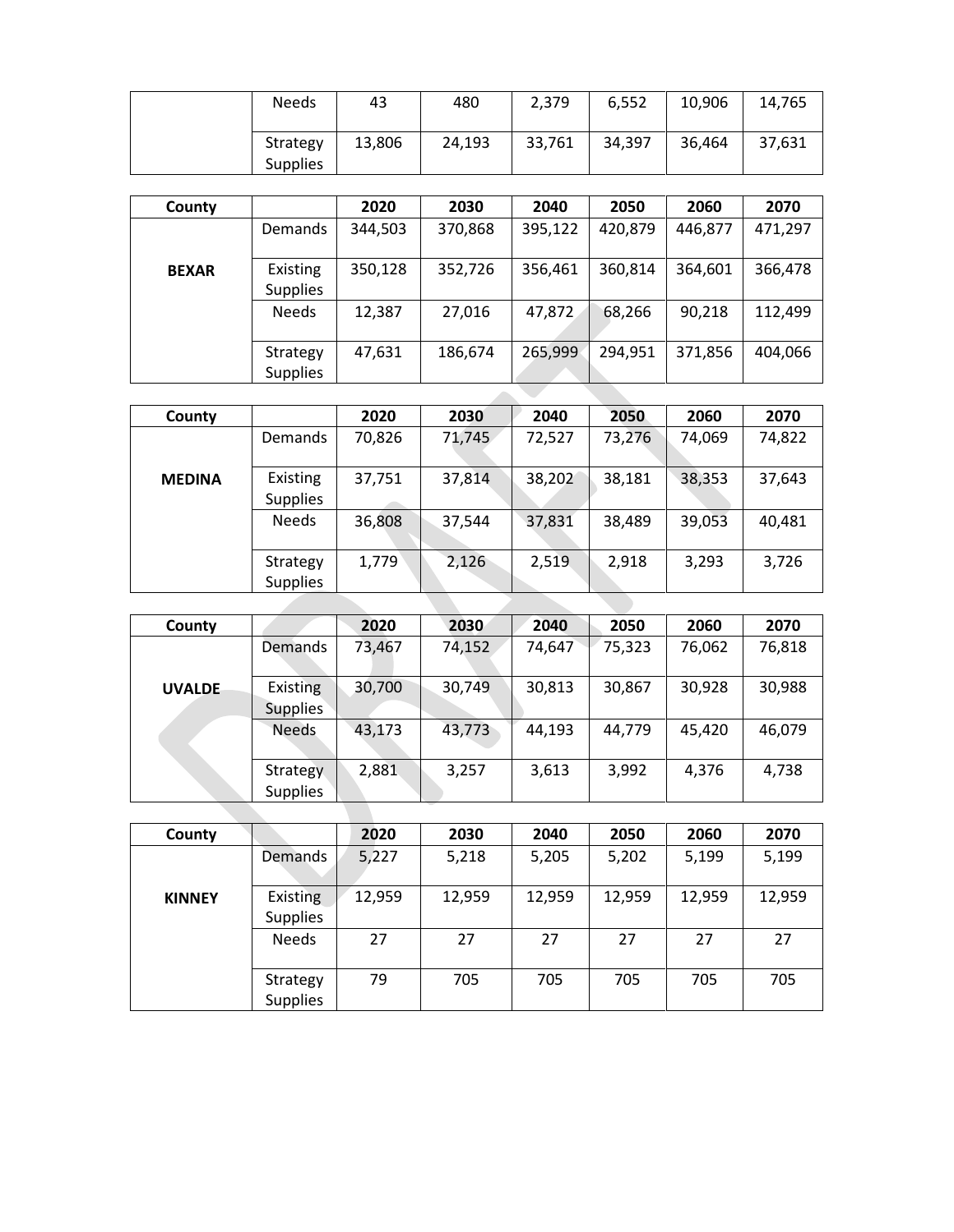| <b>Needs</b>                | 43     | 480    | 2,379  | 6,552  | 10,906 | 14,765 |
|-----------------------------|--------|--------|--------|--------|--------|--------|
| Strategy<br><b>Supplies</b> | 13,806 | 24,193 | 33,761 | 34,397 | 36,464 | 37,631 |

| County       |                             | 2020    | 2030    | 2040    | 2050    | 2060    | 2070    |
|--------------|-----------------------------|---------|---------|---------|---------|---------|---------|
|              | <b>Demands</b>              | 344,503 | 370,868 | 395,122 | 420,879 | 446,877 | 471,297 |
| <b>BEXAR</b> | Existing<br><b>Supplies</b> | 350,128 | 352,726 | 356,461 | 360,814 | 364,601 | 366,478 |
|              | <b>Needs</b>                | 12,387  | 27,016  | 47,872  | 68,266  | 90,218  | 112,499 |
|              | Strategy<br><b>Supplies</b> | 47,631  | 186,674 | 265,999 | 294,951 | 371,856 | 404,066 |
|              |                             |         |         |         |         |         |         |

| County        |                             | 2020   | 2030   | 2040   | 2050   | 2060   | 2070   |
|---------------|-----------------------------|--------|--------|--------|--------|--------|--------|
|               | Demands                     | 70,826 | 71,745 | 72,527 | 73,276 | 74,069 | 74,822 |
| <b>MEDINA</b> | Existing<br><b>Supplies</b> | 37,751 | 37,814 | 38,202 | 38,181 | 38,353 | 37,643 |
|               | <b>Needs</b>                | 36,808 | 37,544 | 37,831 | 38,489 | 39,053 | 40,481 |
|               | Strategy<br><b>Supplies</b> | 1,779  | 2,126  | 2,519  | 2,918  | 3,293  | 3,726  |
|               |                             |        |        |        |        |        |        |

| County        |                             | 2020   | 2030   | 2040   | 2050   | 2060   | 2070   |
|---------------|-----------------------------|--------|--------|--------|--------|--------|--------|
|               | Demands                     | 73,467 | 74,152 | 74,647 | 75,323 | 76,062 | 76,818 |
| <b>UVALDE</b> | Existing<br><b>Supplies</b> | 30,700 | 30,749 | 30,813 | 30,867 | 30,928 | 30,988 |
|               | <b>Needs</b>                | 43,173 | 43,773 | 44,193 | 44,779 | 45,420 | 46,079 |
|               | Strategy<br><b>Supplies</b> | 2,881  | 3,257  | 3,613  | 3,992  | 4,376  | 4,738  |

| County        |                             | 2020   | 2030   | 2040   | 2050   | 2060   | 2070   |
|---------------|-----------------------------|--------|--------|--------|--------|--------|--------|
|               | Demands                     | 5,227  | 5,218  | 5,205  | 5,202  | 5,199  | 5,199  |
| <b>KINNEY</b> | Existing<br><b>Supplies</b> | 12,959 | 12,959 | 12,959 | 12,959 | 12,959 | 12,959 |
|               | <b>Needs</b>                | 27     | 27     | 27     | 27     | 27     | 27     |
|               | Strategy<br><b>Supplies</b> | 79     | 705    | 705    | 705    | 705    | 705    |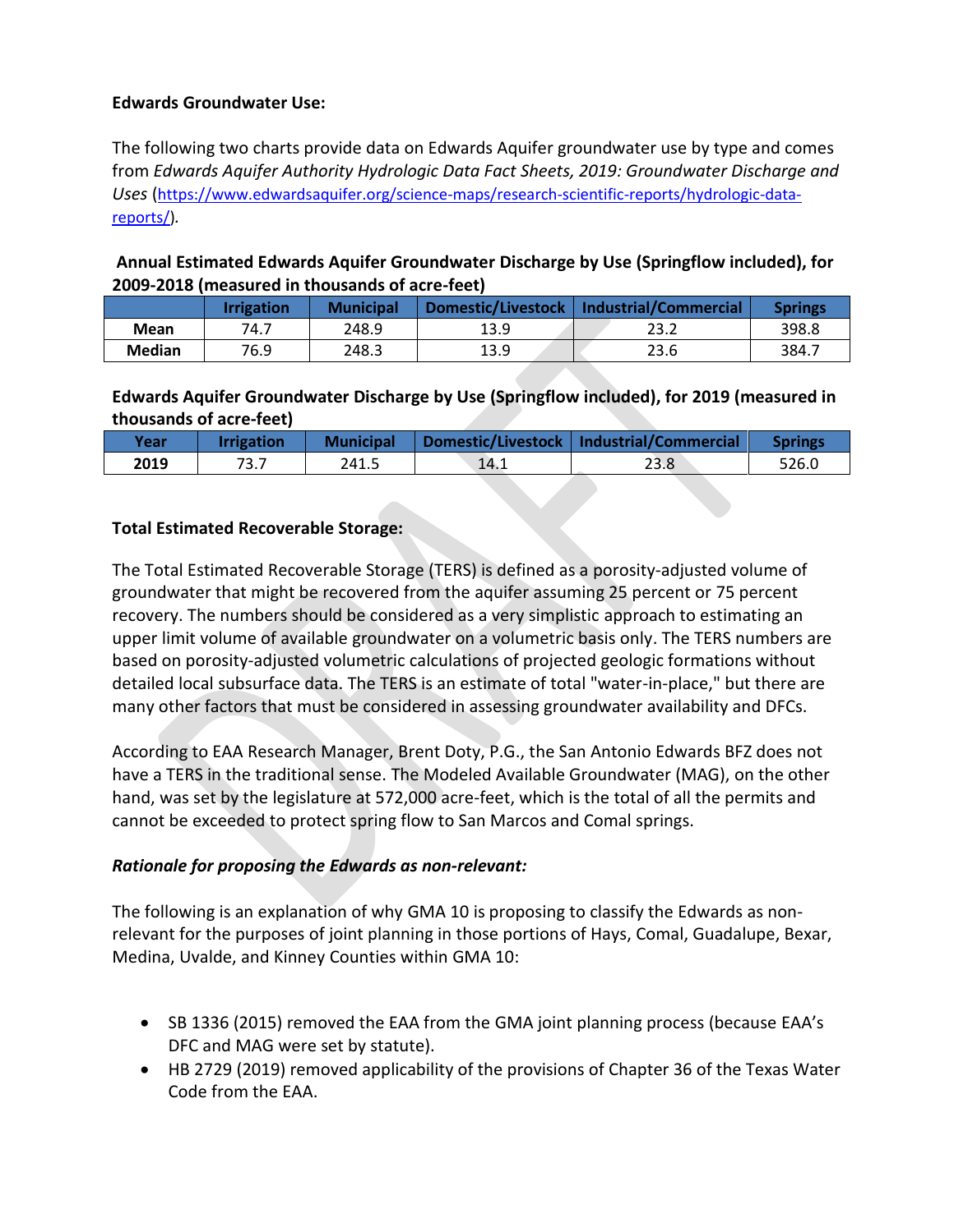### **Edwards Groundwater Use:**

The following two charts provide data on Edwards Aquifer groundwater use by type and comes from *Edwards Aquifer Authority Hydrologic Data Fact Sheets, 2019: Groundwater Discharge and Uses* ([https://www.edwardsaquifer.org/science-maps/research-scientific-reports/hydrologic-data](https://www.edwardsaquifer.org/science-maps/research-scientific-reports/hydrologic-data-reports/)[reports/\)](https://www.edwardsaquifer.org/science-maps/research-scientific-reports/hydrologic-data-reports/)*.*

# **Annual Estimated Edwards Aquifer Groundwater Discharge by Use (Springflow included), for 2009-2018 (measured in thousands of acre-feet)**

|        | <b>Irrigation</b> | <b>Municipal</b> | Domestic/Livestock | Industrial/Commercial | <b>Springs</b> |
|--------|-------------------|------------------|--------------------|-----------------------|----------------|
| Mean   | 74.7              | 248.9            | 13.9               | 23.2                  | 398.8          |
| Median | 76.9              | 248.3            | 13.9               | 23.6                  | 384.7          |

# **Edwards Aquifer Groundwater Discharge by Use (Springflow included), for 2019 (measured in thousands of acre-feet)**

| Year | <b>rrigation</b> | <b>Municipal</b> |      | Domestic/Livestock   Industrial/Commercial |       |
|------|------------------|------------------|------|--------------------------------------------|-------|
| 2019 | 73.7             | 241.5            | 14.1 | 23.8                                       | 526.0 |

### **Total Estimated Recoverable Storage:**

The Total Estimated Recoverable Storage (TERS) is defined as a porosity-adjusted volume of groundwater that might be recovered from the aquifer assuming 25 percent or 75 percent recovery. The numbers should be considered as a very simplistic approach to estimating an upper limit volume of available groundwater on a volumetric basis only. The TERS numbers are based on porosity-adjusted volumetric calculations of projected geologic formations without detailed local subsurface data. The TERS is an estimate of total "water-in-place," but there are many other factors that must be considered in assessing groundwater availability and DFCs.

According to EAA Research Manager, Brent Doty, P.G., the San Antonio Edwards BFZ does not have a TERS in the traditional sense. The Modeled Available Groundwater (MAG), on the other hand, was set by the legislature at 572,000 acre-feet, which is the total of all the permits and cannot be exceeded to protect spring flow to San Marcos and Comal springs.

### *Rationale for proposing the Edwards as non-relevant:*

The following is an explanation of why GMA 10 is proposing to classify the Edwards as nonrelevant for the purposes of joint planning in those portions of Hays, Comal, Guadalupe, Bexar, Medina, Uvalde, and Kinney Counties within GMA 10:

- SB 1336 (2015) removed the EAA from the GMA joint planning process (because EAA's DFC and MAG were set by statute).
- HB 2729 (2019) removed applicability of the provisions of Chapter 36 of the Texas Water Code from the EAA.